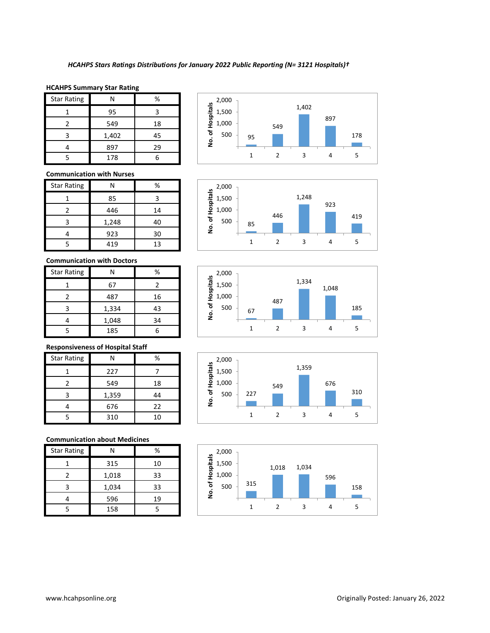#### **HCAHPS Summary Star Rating**

| <b>Star Rating</b> |       | %  |
|--------------------|-------|----|
|                    | 95    |    |
| 2                  | 549   | 18 |
| з                  | 1,402 | 45 |
|                    | 897   | 29 |
|                    | 178   |    |

#### **Communication with Nurses**

| <b>Star Rating</b> |       | %  |
|--------------------|-------|----|
|                    | 85    |    |
|                    | 446   | 14 |
| ς                  | 1,248 | 40 |
|                    | 923   | 30 |
|                    | 419   | 13 |

## **Communication with Doctors**

| <b>Star Rating</b> | Ν     | %  |
|--------------------|-------|----|
|                    | 67    |    |
|                    | 487   | 16 |
| ς                  | 1,334 | 43 |
|                    | 1,048 | 34 |
|                    | 185   |    |

## **Responsiveness of Hospital Staff**

| <b>Star Rating</b> | Ν     | %  |
|--------------------|-------|----|
|                    | 227   |    |
| 2                  | 549   | 18 |
| ς                  | 1,359 | 44 |
|                    | 676   | 22 |
|                    | 310   | 10 |

## **Communication about Medicines**

| <b>Star Rating</b> |       | %  |
|--------------------|-------|----|
|                    | 315   | 10 |
| 2                  | 1,018 | 33 |
| 3                  | 1,034 | 33 |
|                    | 596   | 19 |
|                    | 158   |    |









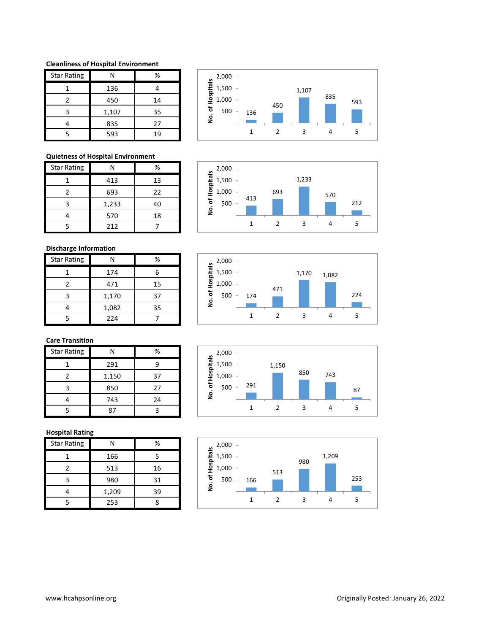#### **Cleanliness of Hospital Environment**

| <b>Star Rating</b> | N     | %  |
|--------------------|-------|----|
|                    | 136   |    |
| $\mathcal{P}$      | 450   | 14 |
| ς                  | 1,107 | 35 |
|                    | 835   | 27 |
|                    | 593   | 19 |



693

1,233

1 2 3 4 5

 $500 - 12$ 

570

### **Quietness of Hospital Environment**

| <b>Star Rating</b> | N     | %  |
|--------------------|-------|----|
|                    | 413   | 13 |
| 2                  | 693   | 22 |
| ٦                  | 1,233 | 40 |
|                    | 570   | 18 |
|                    | 212   |    |

## **Discharge Information**

| <b>Star Rating</b> |       | %  |
|--------------------|-------|----|
|                    | 174   |    |
| 2                  | 471   | 15 |
| ς                  | 1,170 | 37 |
|                    | 1,082 | 35 |
|                    | 224   |    |



413

1,000 1,500 2,000

**No. of Hospitals**

# **Care Transition**

| <b>Star Rating</b> |       | %  |
|--------------------|-------|----|
|                    | 291   |    |
|                    | 1,150 | 37 |
| ว                  | 850   | 27 |
|                    | 743   | 24 |
|                    |       |    |

#### **Hospital Rating**

| <b>Star Rating</b> |       | %  |
|--------------------|-------|----|
|                    | 166   |    |
| 2                  | 513   | 16 |
|                    | 980   | 31 |
|                    | 1,209 | 39 |
|                    | 253   |    |